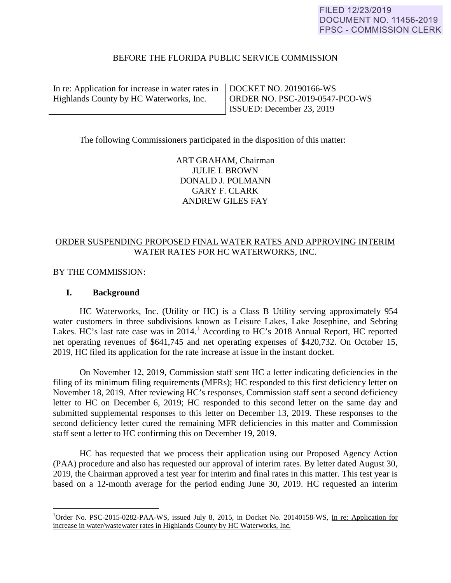#### BEFORE THE FLORIDA PUBLIC SERVICE COMMISSION

In re: Application for increase in water rates in Highlands County by HC Waterworks, Inc.

DOCKET NO. 20190166-WS ORDER NO. PSC-2019-0547-PCO-WS ISSUED: December 23, 2019

The following Commissioners participated in the disposition of this matter:

ART GRAHAM, Chairman JULIE I. BROWN DONALD J. POLMANN GARY F. CLARK ANDREW GILES FAY

# ORDER SUSPENDING PROPOSED FINAL WATER RATES AND APPROVING INTERIM WATER RATES FOR HC WATERWORKS, INC.

BY THE COMMISSION:

#### **I. Background**

 $\overline{a}$ 

 HC Waterworks, Inc. (Utility or HC) is a Class B Utility serving approximately 954 water customers in three subdivisions known as Leisure Lakes, Lake Josephine, and Sebring Lakes. HC's last rate case was in 2014.<sup>1</sup> According to HC's 2018 Annual Report, HC reported net operating revenues of \$641,745 and net operating expenses of \$420,732. On October 15, 2019, HC filed its application for the rate increase at issue in the instant docket.

 On November 12, 2019, Commission staff sent HC a letter indicating deficiencies in the filing of its minimum filing requirements (MFRs); HC responded to this first deficiency letter on November 18, 2019. After reviewing HC's responses, Commission staff sent a second deficiency letter to HC on December 6, 2019; HC responded to this second letter on the same day and submitted supplemental responses to this letter on December 13, 2019. These responses to the second deficiency letter cured the remaining MFR deficiencies in this matter and Commission staff sent a letter to HC confirming this on December 19, 2019.

HC has requested that we process their application using our Proposed Agency Action (PAA) procedure and also has requested our approval of interim rates. By letter dated August 30, 2019, the Chairman approved a test year for interim and final rates in this matter. This test year is based on a 12-month average for the period ending June 30, 2019. HC requested an interim

<sup>&</sup>lt;sup>1</sup>Order No. PSC-2015-0282-PAA-WS, issued July 8, 2015, in Docket No. 20140158-WS, In re: Application for increase in water/wastewater rates in Highlands County by HC Waterworks, Inc*.*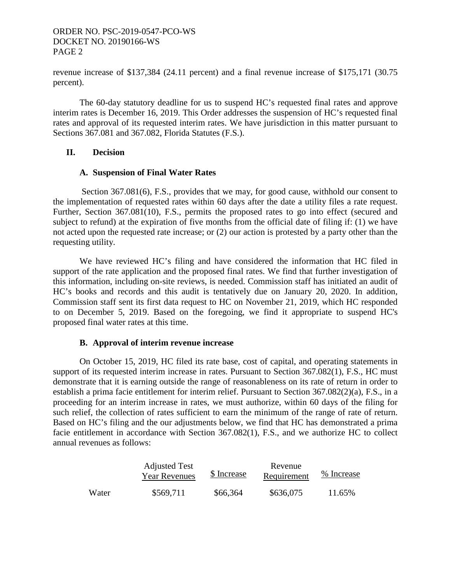revenue increase of \$137,384 (24.11 percent) and a final revenue increase of \$175,171 (30.75 percent).

 The 60-day statutory deadline for us to suspend HC's requested final rates and approve interim rates is December 16, 2019. This Order addresses the suspension of HC's requested final rates and approval of its requested interim rates. We have jurisdiction in this matter pursuant to Sections 367.081 and 367.082, Florida Statutes (F.S.).

## **II. Decision**

#### **A. Suspension of Final Water Rates**

 Section 367.081(6), F.S., provides that we may, for good cause, withhold our consent to the implementation of requested rates within 60 days after the date a utility files a rate request. Further, Section 367.081(10), F.S., permits the proposed rates to go into effect (secured and subject to refund) at the expiration of five months from the official date of filing if: (1) we have not acted upon the requested rate increase; or (2) our action is protested by a party other than the requesting utility.

 We have reviewed HC's filing and have considered the information that HC filed in support of the rate application and the proposed final rates. We find that further investigation of this information, including on-site reviews, is needed. Commission staff has initiated an audit of HC's books and records and this audit is tentatively due on January 20, 2020. In addition, Commission staff sent its first data request to HC on November 21, 2019, which HC responded to on December 5, 2019. Based on the foregoing, we find it appropriate to suspend HC's proposed final water rates at this time.

## **B. Approval of interim revenue increase**

On October 15, 2019, HC filed its rate base, cost of capital, and operating statements in support of its requested interim increase in rates. Pursuant to Section 367.082(1), F.S., HC must demonstrate that it is earning outside the range of reasonableness on its rate of return in order to establish a prima facie entitlement for interim relief. Pursuant to Section 367.082(2)(a), F.S., in a proceeding for an interim increase in rates, we must authorize, within 60 days of the filing for such relief, the collection of rates sufficient to earn the minimum of the range of rate of return. Based on HC's filing and the our adjustments below, we find that HC has demonstrated a prima facie entitlement in accordance with Section 367.082(1), F.S., and we authorize HC to collect annual revenues as follows:

|       | <b>Adjusted Test</b><br><b>Year Revenues</b> | \$ Increase | Revenue<br>Requirement | % Increase |
|-------|----------------------------------------------|-------------|------------------------|------------|
| Water | \$569,711                                    | \$66,364    | \$636,075              | 11.65%     |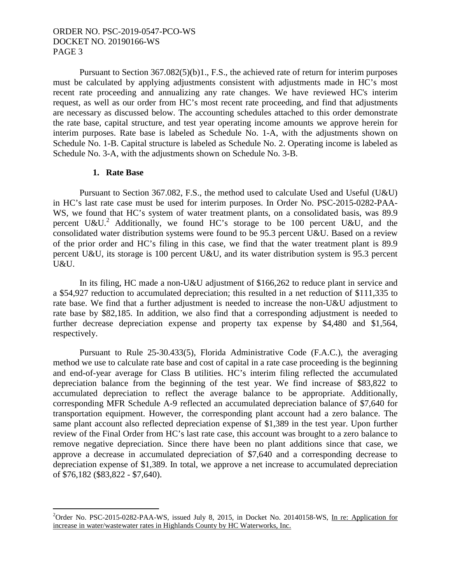Pursuant to Section 367.082(5)(b)1., F.S., the achieved rate of return for interim purposes must be calculated by applying adjustments consistent with adjustments made in HC's most recent rate proceeding and annualizing any rate changes. We have reviewed HC's interim request, as well as our order from HC's most recent rate proceeding, and find that adjustments are necessary as discussed below. The accounting schedules attached to this order demonstrate the rate base, capital structure, and test year operating income amounts we approve herein for interim purposes. Rate base is labeled as Schedule No. 1-A, with the adjustments shown on Schedule No. 1-B. Capital structure is labeled as Schedule No. 2. Operating income is labeled as Schedule No. 3-A, with the adjustments shown on Schedule No. 3-B.

#### **1. Rate Base**

 $\overline{a}$ 

 Pursuant to Section 367.082, F.S., the method used to calculate Used and Useful (U&U) in HC's last rate case must be used for interim purposes. In Order No. PSC-2015-0282-PAA-WS, we found that HC's system of water treatment plants, on a consolidated basis, was 89.9 percent U&U.<sup>2</sup> Additionally, we found HC's storage to be 100 percent U&U, and the consolidated water distribution systems were found to be 95.3 percent U&U. Based on a review of the prior order and HC's filing in this case, we find that the water treatment plant is 89.9 percent U&U, its storage is 100 percent U&U, and its water distribution system is 95.3 percent U&U.

 In its filing, HC made a non-U&U adjustment of \$166,262 to reduce plant in service and a \$54,927 reduction to accumulated depreciation; this resulted in a net reduction of \$111,335 to rate base. We find that a further adjustment is needed to increase the non-U&U adjustment to rate base by \$82,185. In addition, we also find that a corresponding adjustment is needed to further decrease depreciation expense and property tax expense by \$4,480 and \$1,564, respectively.

 Pursuant to Rule 25-30.433(5), Florida Administrative Code (F.A.C.), the averaging method we use to calculate rate base and cost of capital in a rate case proceeding is the beginning and end-of-year average for Class B utilities. HC's interim filing reflected the accumulated depreciation balance from the beginning of the test year. We find increase of \$83,822 to accumulated depreciation to reflect the average balance to be appropriate. Additionally, corresponding MFR Schedule A-9 reflected an accumulated depreciation balance of \$7,640 for transportation equipment. However, the corresponding plant account had a zero balance. The same plant account also reflected depreciation expense of \$1,389 in the test year. Upon further review of the Final Order from HC's last rate case, this account was brought to a zero balance to remove negative depreciation. Since there have been no plant additions since that case, we approve a decrease in accumulated depreciation of \$7,640 and a corresponding decrease to depreciation expense of \$1,389. In total, we approve a net increase to accumulated depreciation of \$76,182 (\$83,822 - \$7,640).

<sup>&</sup>lt;sup>2</sup>Order No. PSC-2015-0282-PAA-WS, issued July 8, 2015, in Docket No. 20140158-WS, In re: Application for increase in water/wastewater rates in Highlands County by HC Waterworks, Inc.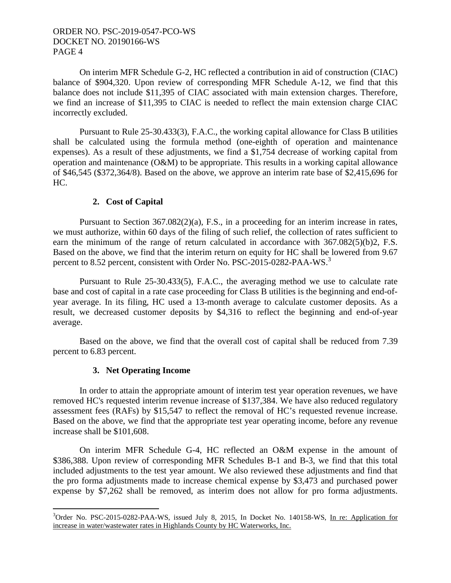On interim MFR Schedule G-2, HC reflected a contribution in aid of construction (CIAC) balance of \$904,320. Upon review of corresponding MFR Schedule A-12, we find that this balance does not include \$11,395 of CIAC associated with main extension charges. Therefore, we find an increase of \$11,395 to CIAC is needed to reflect the main extension charge CIAC incorrectly excluded.

 Pursuant to Rule 25-30.433(3), F.A.C., the working capital allowance for Class B utilities shall be calculated using the formula method (one-eighth of operation and maintenance expenses). As a result of these adjustments, we find a \$1,754 decrease of working capital from operation and maintenance (O&M) to be appropriate. This results in a working capital allowance of \$46,545 (\$372,364/8). Based on the above, we approve an interim rate base of \$2,415,696 for HC.

## **2. Cost of Capital**

Pursuant to Section 367.082(2)(a), F.S., in a proceeding for an interim increase in rates, we must authorize, within 60 days of the filing of such relief, the collection of rates sufficient to earn the minimum of the range of return calculated in accordance with 367.082(5)(b)2, F.S. Based on the above, we find that the interim return on equity for HC shall be lowered from 9.67 percent to 8.52 percent, consistent with Order No. PSC-2015-0282-PAA-WS.<sup>3</sup>

 Pursuant to Rule 25-30.433(5), F.A.C., the averaging method we use to calculate rate base and cost of capital in a rate case proceeding for Class B utilities is the beginning and end-ofyear average. In its filing, HC used a 13-month average to calculate customer deposits. As a result, we decreased customer deposits by \$4,316 to reflect the beginning and end-of-year average.

 Based on the above, we find that the overall cost of capital shall be reduced from 7.39 percent to 6.83 percent.

#### **3. Net Operating Income**

 $\overline{a}$ 

 In order to attain the appropriate amount of interim test year operation revenues, we have removed HC's requested interim revenue increase of \$137,384. We have also reduced regulatory assessment fees (RAFs) by \$15,547 to reflect the removal of HC's requested revenue increase. Based on the above, we find that the appropriate test year operating income, before any revenue increase shall be \$101,608.

 On interim MFR Schedule G-4, HC reflected an O&M expense in the amount of \$386,388. Upon review of corresponding MFR Schedules B-1 and B-3, we find that this total included adjustments to the test year amount. We also reviewed these adjustments and find that the pro forma adjustments made to increase chemical expense by \$3,473 and purchased power expense by \$7,262 shall be removed, as interim does not allow for pro forma adjustments.

<sup>&</sup>lt;sup>3</sup>Order No. PSC-2015-0282-PAA-WS, issued July 8, 2015, In Docket No. 140158-WS, In re: Application for increase in water/wastewater rates in Highlands County by HC Waterworks, Inc.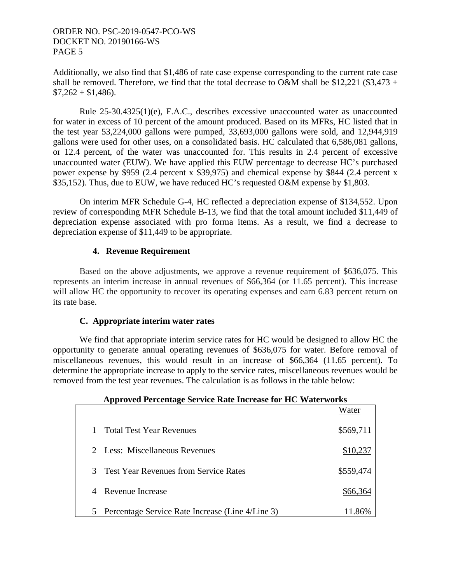Additionally, we also find that \$1,486 of rate case expense corresponding to the current rate case shall be removed. Therefore, we find that the total decrease to O&M shall be \$12,221 (\$3,473 +  $$7,262 + $1,486$ .

 Rule 25-30.4325(1)(e), F.A.C., describes excessive unaccounted water as unaccounted for water in excess of 10 percent of the amount produced. Based on its MFRs, HC listed that in the test year 53,224,000 gallons were pumped, 33,693,000 gallons were sold, and 12,944,919 gallons were used for other uses, on a consolidated basis. HC calculated that 6,586,081 gallons, or 12.4 percent, of the water was unaccounted for. This results in 2.4 percent of excessive unaccounted water (EUW). We have applied this EUW percentage to decrease HC's purchased power expense by \$959 (2.4 percent x \$39,975) and chemical expense by \$844 (2.4 percent x \$35,152). Thus, due to EUW, we have reduced HC's requested O&M expense by \$1,803.

 On interim MFR Schedule G-4, HC reflected a depreciation expense of \$134,552. Upon review of corresponding MFR Schedule B-13, we find that the total amount included \$11,449 of depreciation expense associated with pro forma items. As a result, we find a decrease to depreciation expense of \$11,449 to be appropriate.

# **4. Revenue Requirement**

 Based on the above adjustments, we approve a revenue requirement of \$636,075. This represents an interim increase in annual revenues of \$66,364 (or 11.65 percent). This increase will allow HC the opportunity to recover its operating expenses and earn 6.83 percent return on its rate base.

## **C. Appropriate interim water rates**

We find that appropriate interim service rates for HC would be designed to allow HC the opportunity to generate annual operating revenues of \$636,075 for water. Before removal of miscellaneous revenues, this would result in an increase of \$66,364 (11.65 percent). To determine the appropriate increase to apply to the service rates, miscellaneous revenues would be removed from the test year revenues. The calculation is as follows in the table below:

|   | Approved Percentage Service Rate Increase for HC Waterworks |           |
|---|-------------------------------------------------------------|-----------|
|   |                                                             | Water     |
|   | <b>Total Test Year Revenues</b>                             | \$569,711 |
|   | Less: Miscellaneous Revenues                                | \$10,237  |
|   | <b>Test Year Revenues from Service Rates</b>                | \$559,474 |
|   | Revenue Increase                                            | \$66,364  |
| 5 | Percentage Service Rate Increase (Line 4/Line 3)            | 11.86%    |

# **Approved Percentage Service Rate Increase for HC Waterworks**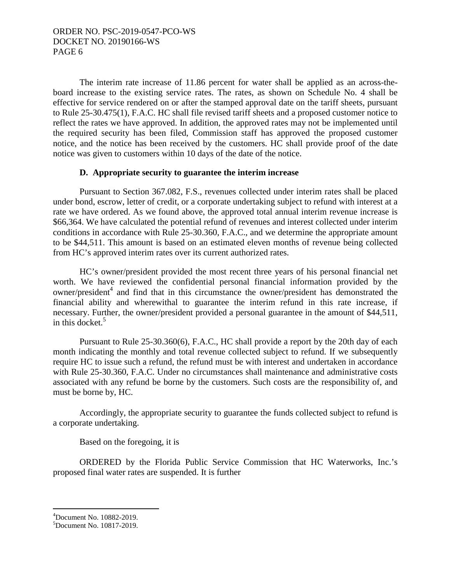The interim rate increase of 11.86 percent for water shall be applied as an across-theboard increase to the existing service rates. The rates, as shown on Schedule No. 4 shall be effective for service rendered on or after the stamped approval date on the tariff sheets, pursuant to Rule 25-30.475(1), F.A.C. HC shall file revised tariff sheets and a proposed customer notice to reflect the rates we have approved. In addition, the approved rates may not be implemented until the required security has been filed, Commission staff has approved the proposed customer notice, and the notice has been received by the customers. HC shall provide proof of the date notice was given to customers within 10 days of the date of the notice.

## **D. Appropriate security to guarantee the interim increase**

Pursuant to Section 367.082, F.S., revenues collected under interim rates shall be placed under bond, escrow, letter of credit, or a corporate undertaking subject to refund with interest at a rate we have ordered. As we found above, the approved total annual interim revenue increase is \$66,364. We have calculated the potential refund of revenues and interest collected under interim conditions in accordance with Rule 25-30.360, F.A.C., and we determine the appropriate amount to be \$44,511. This amount is based on an estimated eleven months of revenue being collected from HC's approved interim rates over its current authorized rates.

 HC's owner/president provided the most recent three years of his personal financial net worth. We have reviewed the confidential personal financial information provided by the owner/president<sup>4</sup> and find that in this circumstance the owner/president has demonstrated the financial ability and wherewithal to guarantee the interim refund in this rate increase, if necessary. Further, the owner/president provided a personal guarantee in the amount of \$44,511, in this docket. $5$ 

 Pursuant to Rule 25-30.360(6), F.A.C., HC shall provide a report by the 20th day of each month indicating the monthly and total revenue collected subject to refund. If we subsequently require HC to issue such a refund, the refund must be with interest and undertaken in accordance with Rule 25-30.360, F.A.C. Under no circumstances shall maintenance and administrative costs associated with any refund be borne by the customers. Such costs are the responsibility of, and must be borne by, HC.

 Accordingly, the appropriate security to guarantee the funds collected subject to refund is a corporate undertaking.

Based on the foregoing, it is

 ORDERED by the Florida Public Service Commission that HC Waterworks, Inc.'s proposed final water rates are suspended. It is further

 $\overline{a}$ 

<sup>4</sup> Document No. 10882-2019.

<sup>5</sup> Document No. 10817-2019.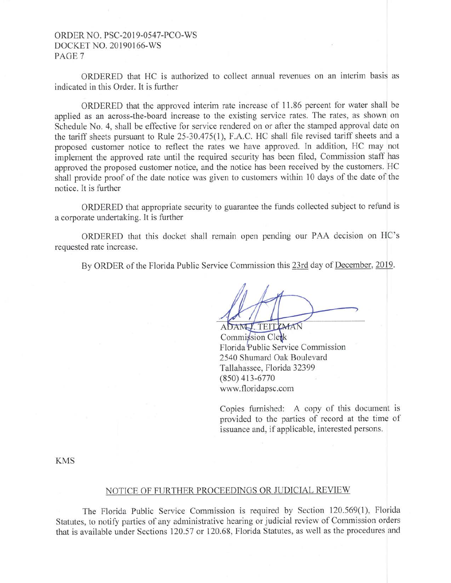ORDERED that HC is authorized to collect annual revenues on an interim basis as indicated in this Order. It is further

ORDERED that the approved interim rate increase of 11.86 percent for water shall be applied as an across-the-board increase to the existing service rates. The rates, as shown on Schedule No. 4, shall be effective for service rendered on or after the stamped approval date on the tariff sheets pursuant to Rule 25-30.475(1), F.A.C. HC shall file revised tariff sheets and a proposed customer notice to reflect the rates we have approved. In addition, HC may not implement the approved rate until the required security has been filed, Commission staff has approved the proposed customer notice, and the notice has been received by the customers. HC shall provide proof of the date notice was given to customers within 10 days of the date of the notice. It is further

ORDERED that appropriate security to guarantee the funds collected subject to refund is a corporate undertaking. It is further

ORDERED that this docket shall remain open pending our PAA decision on HC's requested rate increase.

By ORDER of the Florida Public Service Commission this 23rd day of December, 2019.

ADAMY TEITYMAN

Commission Clerk Florida Public Service Commission 2540 Shumard Oak Boulevard Tallahassee, Florida 32399 (850) 413-6770 www.floridapsc.com

Copies furnished: A copy of this document is provided to the parties of record at the time of issuance and, if applicable, interested persons.

KMS

#### NOTICE OF FURTHER PROCEEDINGS OR JUDICIAL REVIEW

The Florida Public Service Commission is required by Section 120.569(1), Florida Statutes, to notify parties of any administrative hearing or judicial review of Commission orders that is available under Sections 120.57 or 120.68, Florida Statutes, as well as the procedures and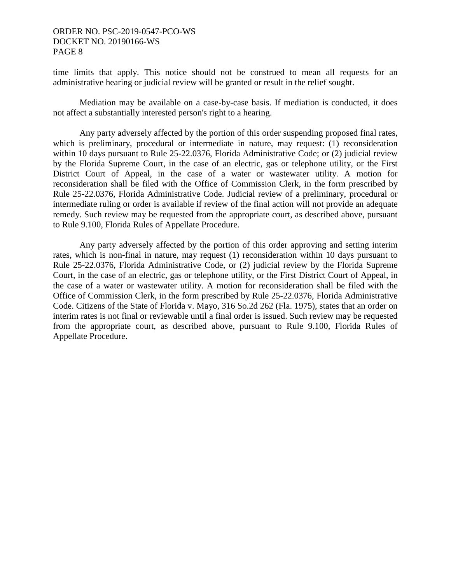time limits that apply. This notice should not be construed to mean all requests for an administrative hearing or judicial review will be granted or result in the relief sought.

 Mediation may be available on a case-by-case basis. If mediation is conducted, it does not affect a substantially interested person's right to a hearing.

 Any party adversely affected by the portion of this order suspending proposed final rates, which is preliminary, procedural or intermediate in nature, may request: (1) reconsideration within 10 days pursuant to Rule 25-22.0376, Florida Administrative Code; or (2) judicial review by the Florida Supreme Court, in the case of an electric, gas or telephone utility, or the First District Court of Appeal, in the case of a water or wastewater utility. A motion for reconsideration shall be filed with the Office of Commission Clerk, in the form prescribed by Rule 25-22.0376, Florida Administrative Code. Judicial review of a preliminary, procedural or intermediate ruling or order is available if review of the final action will not provide an adequate remedy. Such review may be requested from the appropriate court, as described above, pursuant to Rule 9.100, Florida Rules of Appellate Procedure.

 Any party adversely affected by the portion of this order approving and setting interim rates, which is non-final in nature, may request (1) reconsideration within 10 days pursuant to Rule 25-22.0376, Florida Administrative Code, or (2) judicial review by the Florida Supreme Court, in the case of an electric, gas or telephone utility, or the First District Court of Appeal, in the case of a water or wastewater utility. A motion for reconsideration shall be filed with the Office of Commission Clerk, in the form prescribed by Rule 25-22.0376, Florida Administrative Code. Citizens of the State of Florida v. Mayo, 316 So.2d 262 (Fla. 1975), states that an order on interim rates is not final or reviewable until a final order is issued. Such review may be requested from the appropriate court, as described above, pursuant to Rule 9.100, Florida Rules of Appellate Procedure.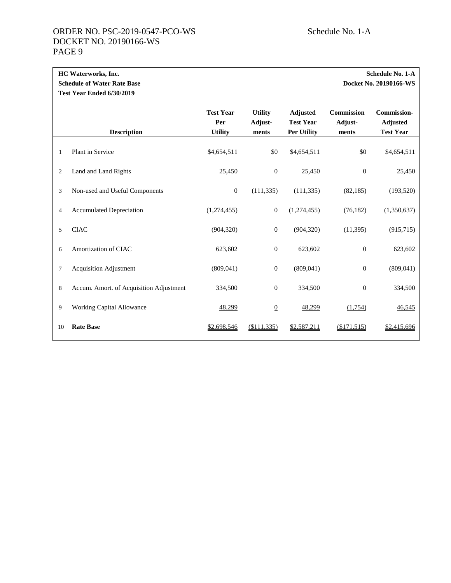Ē.

|                | HC Waterworks, Inc.<br><b>Schedule of Water Rate Base</b><br>Test Year Ended 6/30/2019 |                                           |                                    |                                                           | <b>Schedule No. 1-A</b><br>Docket No. 20190166-WS |                                                           |
|----------------|----------------------------------------------------------------------------------------|-------------------------------------------|------------------------------------|-----------------------------------------------------------|---------------------------------------------------|-----------------------------------------------------------|
|                | <b>Description</b>                                                                     | <b>Test Year</b><br>Per<br><b>Utility</b> | <b>Utility</b><br>Adjust-<br>ments | <b>Adjusted</b><br><b>Test Year</b><br><b>Per Utility</b> | <b>Commission</b><br>Adjust-<br>ments             | <b>Commission-</b><br><b>Adjusted</b><br><b>Test Year</b> |
| 1              | Plant in Service                                                                       | \$4,654,511                               | \$0                                | \$4,654,511                                               | \$0                                               | \$4,654,511                                               |
| 2              | Land and Land Rights                                                                   | 25,450                                    | $\boldsymbol{0}$                   | 25,450                                                    | $\mathbf{0}$                                      | 25,450                                                    |
| 3              | Non-used and Useful Components                                                         | $\mathbf{0}$                              | (111, 335)                         | (111, 335)                                                | (82, 185)                                         | (193, 520)                                                |
| $\overline{4}$ | <b>Accumulated Depreciation</b>                                                        | (1,274,455)                               | $\mathbf{0}$                       | (1,274,455)                                               | (76, 182)                                         | (1,350,637)                                               |
| 5              | <b>CIAC</b>                                                                            | (904, 320)                                | $\boldsymbol{0}$                   | (904, 320)                                                | (11, 395)                                         | (915, 715)                                                |
| 6              | Amortization of CIAC                                                                   | 623,602                                   | $\boldsymbol{0}$                   | 623,602                                                   | $\boldsymbol{0}$                                  | 623,602                                                   |
| $\tau$         | <b>Acquisition Adjustment</b>                                                          | (809, 041)                                | $\boldsymbol{0}$                   | (809, 041)                                                | $\mathbf{0}$                                      | (809, 041)                                                |
| 8              | Accum. Amort. of Acquisition Adjustment                                                | 334,500                                   | $\mathbf{0}$                       | 334,500                                                   | $\boldsymbol{0}$                                  | 334,500                                                   |
| 9              | Working Capital Allowance                                                              | 48,299                                    | $\overline{0}$                     | 48,299                                                    | (1,754)                                           | 46,545                                                    |
| 10             | <b>Rate Base</b>                                                                       | \$2,698,546                               | ( \$111, 335)                      | \$2,587,211                                               | (\$171,515)                                       | \$2,415,696                                               |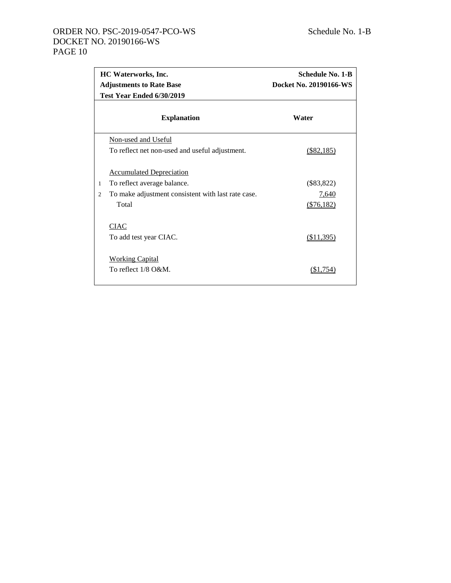|                | HC Waterworks, Inc.<br><b>Adjustments to Rate Base</b><br>Test Year Ended 6/30/2019 | <b>Schedule No. 1-B</b><br>Docket No. 20190166-WS |  |  |  |
|----------------|-------------------------------------------------------------------------------------|---------------------------------------------------|--|--|--|
|                | <b>Explanation</b>                                                                  | Water                                             |  |  |  |
|                | Non-used and Useful                                                                 |                                                   |  |  |  |
|                | To reflect net non-used and useful adjustment.                                      | $($ \$82,185)                                     |  |  |  |
|                | <b>Accumulated Depreciation</b>                                                     |                                                   |  |  |  |
| 1              | To reflect average balance.                                                         | $(\$83,822)$                                      |  |  |  |
| $\mathfrak{D}$ | To make adjustment consistent with last rate case.                                  | 7,640                                             |  |  |  |
|                | Total                                                                               | ( \$76, 182)                                      |  |  |  |
|                | <b>CIAC</b>                                                                         |                                                   |  |  |  |
|                | To add test year CIAC.                                                              | (\$11,395)                                        |  |  |  |
|                | <b>Working Capital</b><br>To reflect $1/8$ O&M.                                     | (\$1.754)                                         |  |  |  |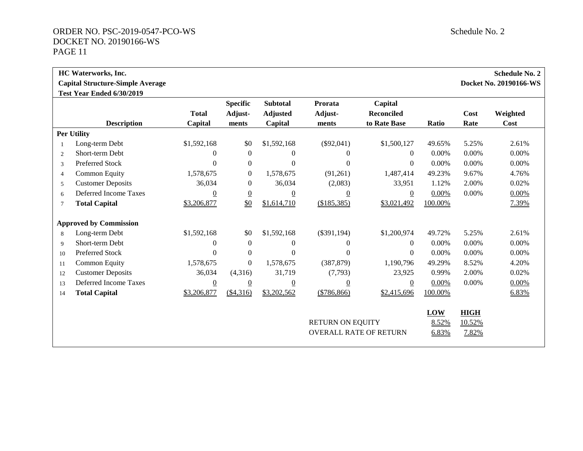|                | <b>HC</b> Waterworks, Inc.              |              |                            |                                    |                    |                              |          |       | <b>Schedule No. 2</b>  |
|----------------|-----------------------------------------|--------------|----------------------------|------------------------------------|--------------------|------------------------------|----------|-------|------------------------|
|                | <b>Capital Structure-Simple Average</b> |              |                            |                                    |                    |                              |          |       | Docket No. 20190166-WS |
|                | Test Year Ended 6/30/2019               | <b>Total</b> | <b>Specific</b><br>Adjust- | <b>Subtotal</b><br><b>Adjusted</b> | Prorata<br>Adjust- | Capital<br><b>Reconciled</b> |          | Cost  | Weighted               |
|                | <b>Description</b>                      | Capital      | ments                      | Capital                            | ments              | to Rate Base                 | Ratio    | Rate  | Cost                   |
|                | <b>Per Utility</b>                      |              |                            |                                    |                    |                              |          |       |                        |
|                | Long-term Debt                          | \$1,592,168  | \$0                        | \$1,592,168                        | $(\$92,041)$       | \$1,500,127                  | 49.65%   | 5.25% | 2.61%                  |
| $\overline{2}$ | Short-term Debt                         | $\theta$     | $\boldsymbol{0}$           |                                    | 0                  | $\Omega$                     | $0.00\%$ | 0.00% | $0.00\%$               |
| 3              | Preferred Stock                         | $\Omega$     | $\mathbf{0}$               | $\Omega$                           | $\Omega$           | $\Omega$                     | $0.00\%$ | 0.00% | $0.00\%$               |
| $\overline{4}$ | <b>Common Equity</b>                    | 1,578,675    | $\boldsymbol{0}$           | 1,578,675                          | (91,261)           | 1,487,414                    | 49.23%   | 9.67% | 4.76%                  |
| 5              | <b>Customer Deposits</b>                | 36,034       | $\mathbf{0}$               | 36,034                             | (2,083)            | 33,951                       | 1.12%    | 2.00% | 0.02%                  |
| 6              | Deferred Income Taxes                   | $\theta$     | $\overline{0}$             | 0                                  | 0                  | $\boldsymbol{0}$             | 0.00%    | 0.00% | $0.00\%$               |
| $\overline{7}$ | <b>Total Capital</b>                    | \$3,206,877  | $\underline{\$0}$          | \$1,614,710                        | (\$185,385)        | \$3,021,492                  | 100.00%  |       | 7.39%                  |

|    | <b>Approved by Commission</b> |                |                  |             |                               |             |          |             |          |
|----|-------------------------------|----------------|------------------|-------------|-------------------------------|-------------|----------|-------------|----------|
| 8  | Long-term Debt                | \$1,592,168    | \$0              | \$1,592,168 | $(\$391,194)$                 | \$1,200,974 | 49.72%   | 5.25%       | 2.61%    |
| 9  | Short-term Debt               | $\theta$       | $\theta$         | $\theta$    | $\Omega$                      | $\Omega$    | $0.00\%$ | $0.00\%$    | $0.00\%$ |
| 10 | Preferred Stock               | $\Omega$       | $\Omega$         | $\Omega$    | $\theta$                      | $\Omega$    | $0.00\%$ | $0.00\%$    | $0.00\%$ |
| 11 | Common Equity                 | 1,578,675      | $\boldsymbol{0}$ | 1,578,675   | (387, 879)                    | 1,190,796   | 49.29%   | 8.52%       | 4.20%    |
| 12 | <b>Customer Deposits</b>      | 36,034         | (4,316)          | 31,719      | (7,793)                       | 23,925      | 0.99%    | 2.00%       | 0.02%    |
| 13 | Deferred Income Taxes         | $\overline{0}$ | $\overline{0}$   | $\theta$    | $\theta$                      | $\theta$    | 0.00%    | $0.00\%$    | 0.00%    |
| 14 | <b>Total Capital</b>          | \$3,206,877    | (\$4,316)        | \$3,202,562 | (\$786,866)                   | \$2,415,696 | 100.00%  |             | 6.83%    |
|    |                               |                |                  |             |                               |             |          |             |          |
|    |                               |                |                  |             |                               |             | LOW      | <b>HIGH</b> |          |
|    |                               |                |                  |             | <b>RETURN ON EQUITY</b>       |             | 8.52%    | 10.52%      |          |
|    |                               |                |                  |             | <b>OVERALL RATE OF RETURN</b> |             | 6.83%    | 7.82%       |          |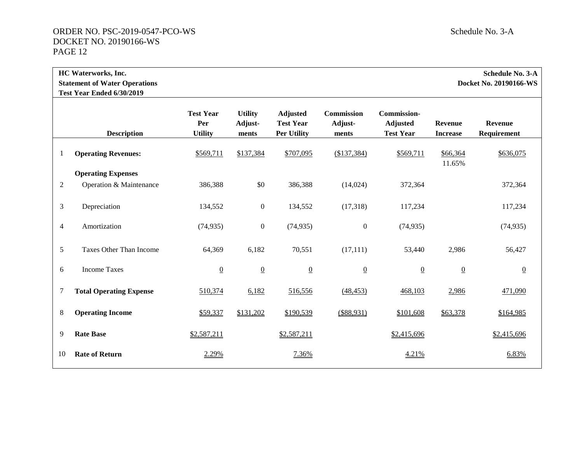| <b>HC Waterworks, Inc.</b>           | Schedule No. 3-A       |
|--------------------------------------|------------------------|
| <b>Statement of Water Operations</b> | Docket No. 20190166-WS |
| Test Year Ended 6/30/2019            |                        |
|                                      |                        |

|        | <b>Description</b>             | <b>Test Year</b><br>Per<br><b>Utility</b> | <b>Utility</b><br>Adjust-<br>ments | <b>Adjusted</b><br><b>Test Year</b><br><b>Per Utility</b> | <b>Commission</b><br>Adjust-<br>ments | <b>Commission-</b><br><b>Adjusted</b><br><b>Test Year</b> | <b>Revenue</b><br><b>Increase</b> | <b>Revenue</b><br>Requirement |
|--------|--------------------------------|-------------------------------------------|------------------------------------|-----------------------------------------------------------|---------------------------------------|-----------------------------------------------------------|-----------------------------------|-------------------------------|
| 1      | <b>Operating Revenues:</b>     | \$569,711                                 | \$137,384                          | \$707,095                                                 | (\$137,384)                           | \$569,711                                                 | \$66,364<br>11.65%                | \$636,075                     |
|        | <b>Operating Expenses</b>      |                                           |                                    |                                                           |                                       |                                                           |                                   |                               |
| 2      | Operation & Maintenance        | 386,388                                   | \$0                                | 386,388                                                   | (14, 024)                             | 372,364                                                   |                                   | 372,364                       |
|        |                                |                                           |                                    |                                                           |                                       |                                                           |                                   |                               |
| 3      | Depreciation                   | 134,552                                   | $\boldsymbol{0}$                   | 134,552                                                   | (17,318)                              | 117,234                                                   |                                   | 117,234                       |
|        |                                |                                           |                                    |                                                           |                                       |                                                           |                                   |                               |
| 4      | Amortization                   | (74, 935)                                 | $\boldsymbol{0}$                   | (74, 935)                                                 | $\overline{0}$                        | (74, 935)                                                 |                                   | (74, 935)                     |
|        |                                |                                           |                                    |                                                           |                                       |                                                           |                                   |                               |
|        | Taxes Other Than Income        |                                           |                                    |                                                           |                                       |                                                           | 2,986                             | 56,427                        |
| 5      |                                | 64,369                                    | 6,182                              | 70,551                                                    | (17, 111)                             | 53,440                                                    |                                   |                               |
| 6      | <b>Income Taxes</b>            | $\underline{0}$                           | $\overline{0}$                     | $\underline{0}$                                           | $\underline{0}$                       | $\overline{0}$                                            | $\overline{0}$                    | $\overline{0}$                |
|        |                                |                                           |                                    |                                                           |                                       |                                                           |                                   |                               |
| $\tau$ | <b>Total Operating Expense</b> | 510,374                                   |                                    | 516,556                                                   | (48, 453)                             | 468,103                                                   |                                   | 471,090                       |
|        |                                |                                           | 6,182                              |                                                           |                                       |                                                           | 2,986                             |                               |
|        |                                |                                           |                                    |                                                           |                                       |                                                           |                                   |                               |
| 8      | <b>Operating Income</b>        | \$59,337                                  | \$131,202                          | \$190,539                                                 | (\$88,931)                            | \$101,608                                                 | \$63,378                          | \$164,985                     |
|        |                                |                                           |                                    |                                                           |                                       |                                                           |                                   |                               |
| 9      | <b>Rate Base</b>               | \$2,587,211                               |                                    | \$2,587,211                                               |                                       | \$2,415,696                                               |                                   | \$2,415,696                   |
|        |                                |                                           |                                    |                                                           |                                       |                                                           |                                   |                               |
| 10     | <b>Rate of Return</b>          | 2.29%                                     |                                    | 7.36%                                                     |                                       | 4.21%                                                     |                                   | 6.83%                         |
|        |                                |                                           |                                    |                                                           |                                       |                                                           |                                   |                               |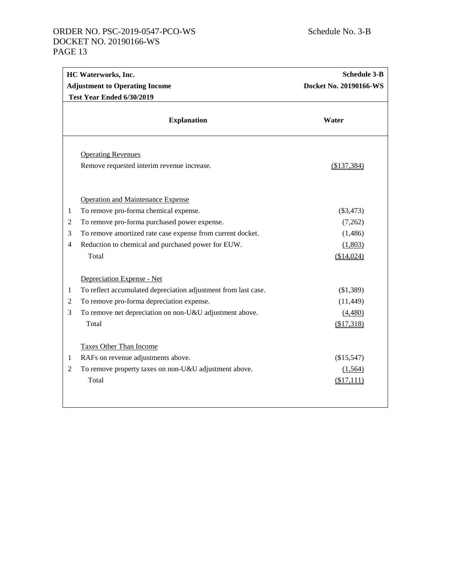|                                                                  | <b>HC Waterworks, Inc.</b>                                     | <b>Schedule 3-B</b>    |
|------------------------------------------------------------------|----------------------------------------------------------------|------------------------|
|                                                                  | <b>Adjustment to Operating Income</b>                          | Docket No. 20190166-WS |
|                                                                  | Test Year Ended 6/30/2019                                      |                        |
|                                                                  | <b>Explanation</b>                                             | Water                  |
|                                                                  | <b>Operating Revenues</b>                                      |                        |
|                                                                  | Remove requested interim revenue increase.                     | (\$137,384)            |
|                                                                  | <b>Operation and Maintenance Expense</b>                       |                        |
| $\mathbf{1}$                                                     | To remove pro-forma chemical expense.                          | (\$3,473)              |
| $\overline{2}$                                                   | To remove pro-forma purchased power expense.                   | (7,262)                |
| $\mathfrak{Z}$                                                   | To remove amortized rate case expense from current docket.     | (1,486)                |
| $\overline{4}$                                                   | Reduction to chemical and purchased power for EUW.             | (1,803)                |
|                                                                  | Total                                                          | (\$14,024)             |
|                                                                  | Depreciation Expense - Net                                     |                        |
| $\mathbf{1}$                                                     | To reflect accumulated depreciation adjustment from last case. | (\$1,389)              |
| $\mathfrak{2}% _{T}=\mathfrak{2}_{T}\!\left( T_{T_{1}}\right) ,$ | To remove pro-forma depreciation expense.                      | (11, 449)              |
| 3                                                                | To remove net depreciation on non-U&U adjustment above.        | (4,480)                |
|                                                                  | Total                                                          | (\$17,318)             |
|                                                                  | <b>Taxes Other Than Income</b>                                 |                        |
| 1                                                                | RAFs on revenue adjustments above.                             | (\$15,547)             |
| $\mathfrak{2}$                                                   | To remove property taxes on non-U&U adjustment above.          | (1,564)                |
|                                                                  | Total                                                          | (\$17,111)             |
|                                                                  |                                                                |                        |